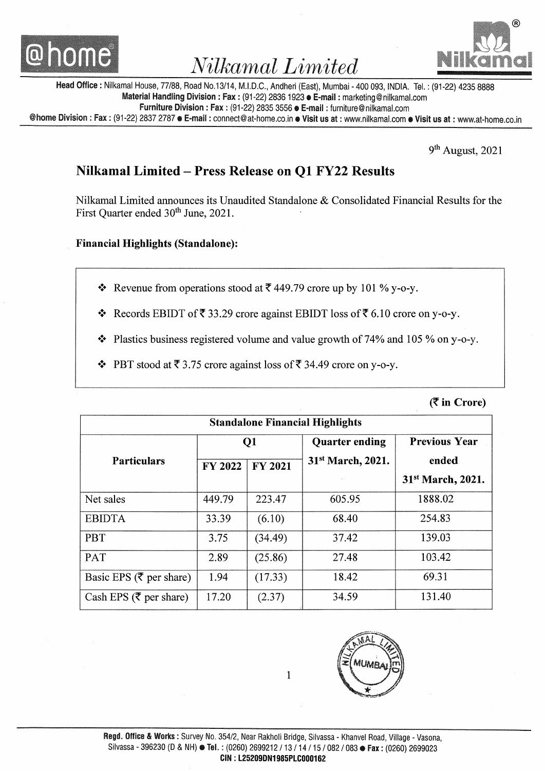



Head Office : Nilkamal House, 77/88, Road No.13/14, M.I.D.C., Andheri (East), Mumbai - 400 093, INDIA. Tel. : (91-22) 4235 8888 Material Handling Division: Fax: (91-22) 2836 1923 **E-mail:** marketing@nilkamal.com Furniture Division: Fax: (91-22) 2835 3556 C-mail: furniture@nilkamal.com @home Division: Fax: (91-22) 2837 2787 e E-mail: connect@at-home.co.in e Visit us at: www.nilkamal.com e Visit us at: www.at-home.co.in

9<sup>th</sup> August, 2021

## Nilkamal Limited- Press Release on Ql FY22 Results

Nilkamal Limited announces its Unaudited Standalone & Consolidated Financial Results for the First Quarter ended 30<sup>th</sup> June, 2021.

### Financial Highlights (Standalone):

- Revenue from operations stood at  $\overline{\zeta}$  449.79 crore up by 101 % y-o-y.
- Records EBIDT of  $\bar{\xi}$  33.29 crore against EBIDT loss of  $\bar{\xi}$  6.10 crore on y-o-y.
- $\triangleleft$  Plastics business registered volume and value growth of 74% and 105 % on y-o-y.
- PBT stood at  $\overline{\xi}$  3.75 crore against loss of  $\overline{\xi}$  34.49 crore on y-o-y.

 $($  $\overline{\mathbf{z}}$  in Crore)

| <b>Standalone Financial Highlights</b> |                |                |                               |                               |
|----------------------------------------|----------------|----------------|-------------------------------|-------------------------------|
|                                        | Q1             |                | <b>Quarter ending</b>         | <b>Previous Year</b>          |
| <b>Particulars</b>                     | <b>FY 2022</b> | <b>FY 2021</b> | 31 <sup>st</sup> March, 2021. | ended                         |
|                                        |                |                |                               | 31 <sup>st</sup> March, 2021. |
| Net sales                              | 449.79         | 223.47         | 605.95                        | 1888.02                       |
| <b>EBIDTA</b>                          | 33.39          | (6.10)         | 68.40                         | 254.83                        |
| <b>PBT</b>                             | 3.75           | (34.49)        | 37.42                         | 139.03                        |
| PAT                                    | 2.89           | (25.86)        | 27.48                         | 103.42                        |
| Basic EPS ( $\bar{\tau}$ per share)    | 1.94           | (17.33)        | 18.42                         | 69.31                         |
| Cash EPS ( $\bar{\tau}$ per share)     | 17.20          | (2.37)         | 34.59                         | 131.40                        |



1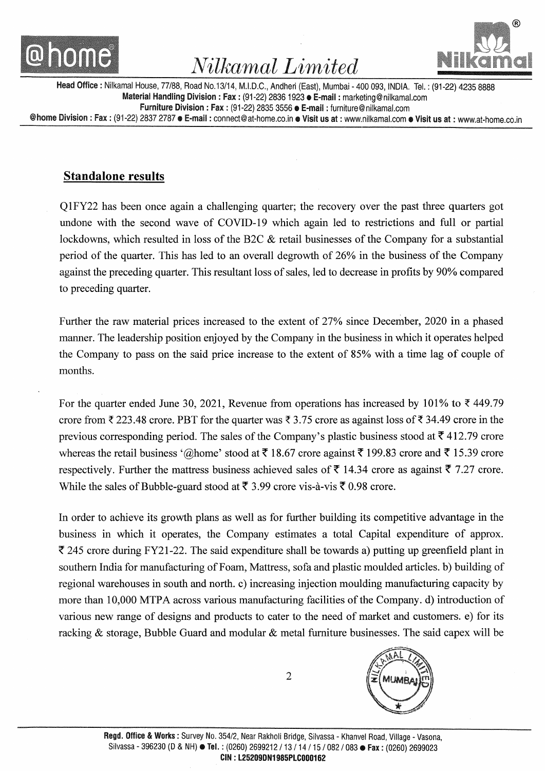



Head Office: Nilkamal House, 77/88, Road No.13/14, M.I.D.C., Andheri (East), Mumbai- 400 093, INDIA. Tel.: (91-22) 4235 8888 Material Handling Division: Fax: (91-22) 2836 1923 • E-mail: marketing@nilkamal.com Furniture Division: Fax: (91-22) 2835 3556 e E-mail: furniture@nilkamal.com @home Division: Fax: (91-22) 2837 2787 e E-mail: connect@at-home.co.in e Visit us at: www.nilkamal.com e Visit us at: www.at-home.co.in

### **Standalone results**

Q 1 FY22 has been once again a challenging quarter; the recovery over the past three quarters got undone with the second wave of COVID-19 which again led to restrictions and full or partial lockdowns, which resulted in loss of the B2C & retail businesses of the Company for a substantial period of the quarter. This has led to an overall degrowth of 26% in the business of the Company against the preceding quarter. This resultant loss of sales, led to decrease in profits by 90% compared to preceding quarter.

Further the raw material prices increased to the extent of 27% since December, 2020 in a phased manner. The leadership position enjoyed by the Company in the business in which it operates helped the Company to pass on the said price increase to the extent of 85% with a time lag of couple of months.

For the quarter ended June 30, 2021, Revenue from operations has increased by 101% to  $\bar{\tau}$  449.79 crore from  $\bar{\tau}$  223.48 crore. PBT for the quarter was  $\bar{\tau}$  3.75 crore as against loss of  $\bar{\tau}$  34.49 crore in the previous corresponding period. The sales of the Company's plastic business stood at  $\bar{\tau}$  412.79 crore whereas the retail business '@home' stood at  $\bar{\tau}$  18.67 crore against  $\bar{\tau}$  199.83 crore and  $\bar{\tau}$  15.39 crore respectively. Further the mattress business achieved sales of  $\bar{\tau}$  14.34 crore as against  $\bar{\tau}$  7.27 crore. While the sales of Bubble-guard stood at  $\bar{\tau}$  3.99 crore vis-a-vis  $\bar{\tau}$  0.98 crore.

In order to achieve its growth plans as well as for further building its competitive advantage in the business in which it operates, the Company estimates a total Capital expenditure of approx.  $\overline{\xi}$  245 crore during FY21-22. The said expenditure shall be towards a) putting up greenfield plant in southern India for manufacturing of Foam, Mattress, sofa and plastic moulded articles. b) building of regional warehouses in south and north. c) increasing injection moulding manufacturing capacity by more than 10,000 MTPA across various manufacturing facilities of the Company. d) introduction of various new range of designs and products to cater to the need of market and customers. e) for its racking & storage, Bubble Guard and modular & metal furniture businesses. The said capex will be

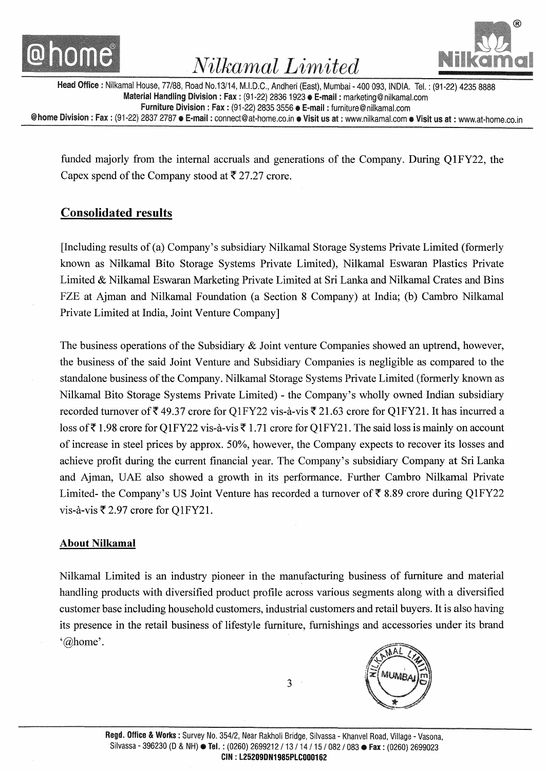



Head Office: Nilkamal House, 77/88, Road No.13/14, M.I.D.C., Andheri (East), Mumbai- 400 093, INDIA. Tel.: (91-22) 4235 8888 Material Handling Division: Fax: (91-22) 2836 1923 **e E-mail:** marketing@nilkamal.com Furniture Division : Fax : (91-22) 2835 3556 e E~mail : furniture@ nilkamal.com @home Division: Fax: (91-22) 2837 2787 e E-mail: connect@at-home.co.in e Visit us at: www.nilkamal.com e Visit us at: www.at-home.co.in

funded majorly from the internal accruals and generations of the Company. During Q1FY22, the Capex spend of the Company stood at  $\bar{\tau}$  27.27 crore.

### **Consolidated results**

[Including results of (a) Company's subsidiary Nilkamal Storage Systems Private Limited (formerly known as Nilkamal Bito Storage Systems Private Limited), Nilkamal Eswaran Plastics Private Limited & Nilkamal Eswaran Marketing Private Limited at Sri Lanka and Nilkamal Crates and Bins FZE at Ajman and Nilkamal Foundation (a Section 8 Company) at India; (b) Cambro Nilkamal Private Limited at India, Joint Venture Company]

The business operations of the Subsidiary & Joint venture Companies showed an uptrend, however, the business of the said Joint Venture and Subsidiary Companies is negligible as compared to the standalone business of the Company. Nilkamal Storage Systems Private Limited (formerly known as Nilkamal Bito Storage Systems Private Limited)- the Company's wholly owned Indian subsidiary recorded turnover of  $\bar{\xi}$  49.37 crore for Q1FY22 vis-à-vis  $\bar{\xi}$  21.63 crore for Q1FY21. It has incurred a loss of  $\bar{\tau}$  1.98 crore for Q1 FY22 vis-à-vis  $\bar{\tau}$  1.71 crore for Q1 FY21. The said loss is mainly on account of increase in steel prices by approx. 50%, however, the Company expects to recover its losses and achieve profit during the current financial year. The Company's subsidiary Company at Sri Lanka and Ajman, UAE also showed a growth in its performance. Further Cambro Nilkamal Private Limited- the Company's US Joint Venture has recorded a turnover of  $\bar{\tau}$  8.89 crore during Q1FY22 vis-à-vis  $\overline{\xi}$  2.97 crore for Q1FY21.

#### **About Nilkamal**

Nilkamal Limited is an industry pioneer in the manufacturing business of furniture and material handling products with diversified product profile across various segments along with a diversified customer base including household customers, industrial customers and retail buyers. It is also having its presence in the retail business of lifestyle furniture, furnishings and accessories under its brand '@home'.

**MUMB** 

3